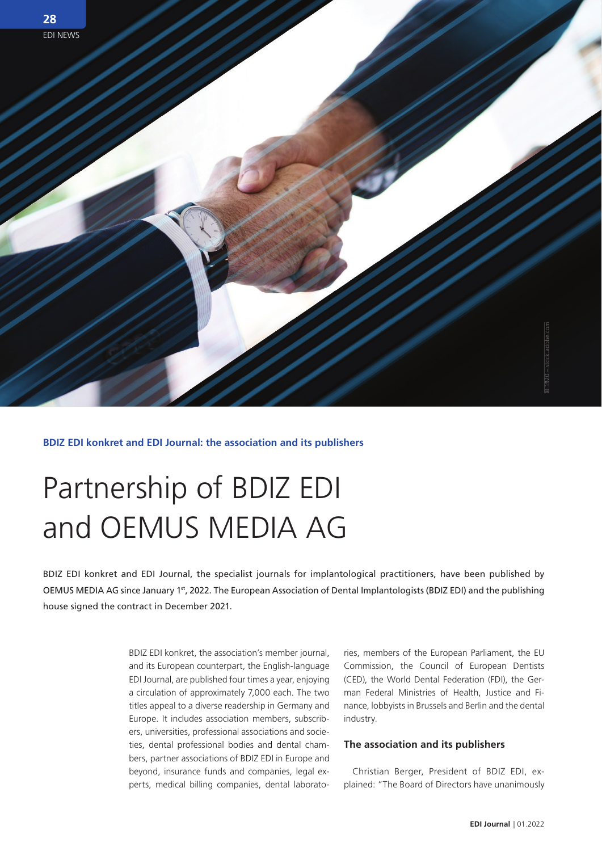

**BDIZ EDI konkret and EDI Journal: the association and its publishers**

## Partnership of BDIZ EDI and OEMUS MEDIA AG

BDIZ EDI konkret and EDI Journal, the specialist journals for implantological practitioners, have been published by OEMUS MEDIA AG since January 1st, 2022. The European Association of Dental Implantologists (BDIZ EDI) and the publishing house signed the contract in December 2021.

> BDIZ EDI konkret, the association's member journal, and its European counterpart, the English-language EDI Journal, are published four times a year, enjoying a circulation of approximately 7,000 each. The two titles appeal to a diverse readership in Germany and Europe. It includes association members, subscribers, universities, professional associations and societies, dental professional bodies and dental chambers, partner associations of BDIZ EDI in Europe and beyond, insurance funds and companies, legal experts, medical billing companies, dental laborato

ries, members of the European Parliament, the EU Commission, the Council of European Dentists (CED), the World Dental Federation (FDI), the German Federal Ministries of Health, Justice and Finance, lobbyists in Brussels and Berlin and the dental industry.

## **The association and its publishers**

Christian Berger, President of BDIZ EDI, ex-